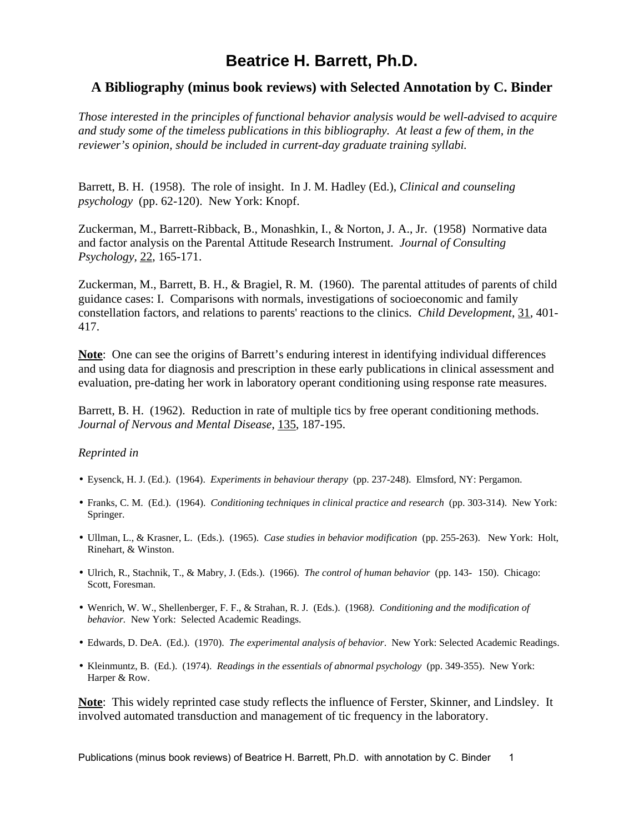## **Beatrice H. Barrett, Ph.D.**

## **A Bibliography (minus book reviews) with Selected Annotation by C. Binder**

*Those interested in the principles of functional behavior analysis would be well-advised to acquire and study some of the timeless publications in this bibliography. At least a few of them, in the reviewer's opinion, should be included in current-day graduate training syllabi.*

Barrett, B. H. (1958). The role of insight. In J. M. Hadley (Ed.), *Clinical and counseling psychology* (pp. 62-120). New York: Knopf.

Zuckerman, M., Barrett-Ribback, B., Monashkin, I., & Norton, J. A., Jr. (1958) Normative data and factor analysis on the Parental Attitude Research Instrument. *Journal of Consulting Psychology,* 22, 165-171.

Zuckerman, M., Barrett, B. H., & Bragiel, R. M. (1960). The parental attitudes of parents of child guidance cases: I. Comparisons with normals, investigations of socioeconomic and family constellation factors, and relations to parents' reactions to the clinics. *Child Development*, 31, 401- 417.

**Note**: One can see the origins of Barrett's enduring interest in identifying individual differences and using data for diagnosis and prescription in these early publications in clinical assessment and evaluation, pre-dating her work in laboratory operant conditioning using response rate measures.

Barrett, B. H. (1962). Reduction in rate of multiple tics by free operant conditioning methods. *Journal of Nervous and Mental Disease*, 135, 187-195.

## *Reprinted in*

- Eysenck, H. J. (Ed.). (1964). *Experiments in behaviour therapy* (pp. 237-248). Elmsford, NY: Pergamon.
- Franks, C. M. (Ed.). (1964). *Conditioning techniques in clinical practice and research* (pp. 303-314). New York: Springer.
- Ullman, L., & Krasner, L. (Eds.). (1965). *Case studies in behavior modification* (pp. 255-263). New York: Holt, Rinehart, & Winston.
- Ulrich, R., Stachnik, T., & Mabry, J. (Eds.). (1966). *The control of human behavior* (pp. 143- 150). Chicago: Scott, Foresman.
- Wenrich, W. W., Shellenberger, F. F., & Strahan, R. J. (Eds.). (1968*). Conditioning and the modification of behavior.* New York: Selected Academic Readings.
- Edwards, D. DeA. (Ed.). (1970). *The experimental analysis of behavior*. New York: Selected Academic Readings.
- Kleinmuntz, B. (Ed.). (1974). *Readings in the essentials of abnormal psychology* (pp. 349-355). New York: Harper & Row.

**Note**: This widely reprinted case study reflects the influence of Ferster, Skinner, and Lindsley. It involved automated transduction and management of tic frequency in the laboratory.

Publications (minus book reviews) of Beatrice H. Barrett, Ph.D. with annotation by C. Binder 1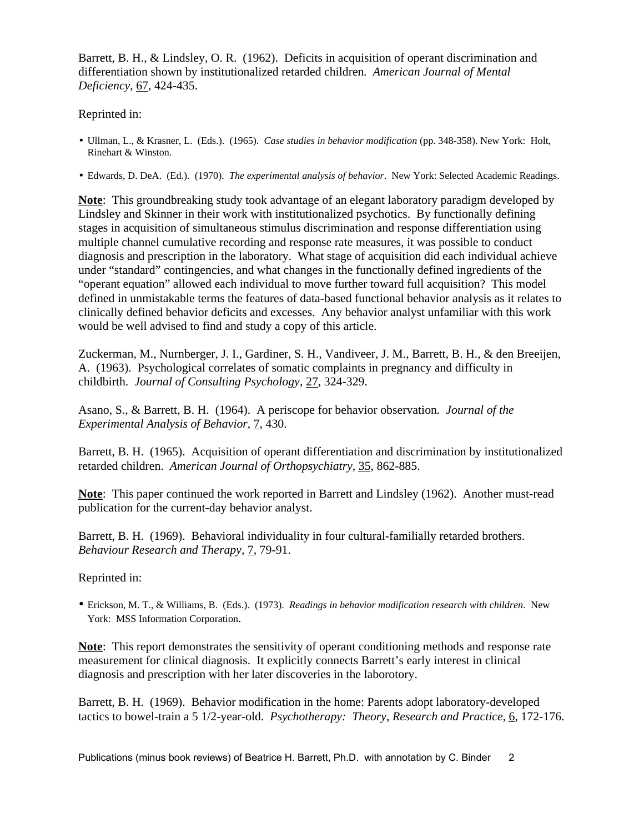Barrett, B. H., & Lindsley, O. R. (1962). Deficits in acquisition of operant discrimination and differentiation shown by institutionalized retarded children*. American Journal of Mental Deficiency*, 67, 424-435.

Reprinted in:

- Ullman, L., & Krasner, L. (Eds.). (1965). *Case studies in behavior modification* (pp. 348-358). New York: Holt, Rinehart & Winston.
- Edwards, D. DeA. (Ed.). (1970). *The experimental analysis of behavior*. New York: Selected Academic Readings.

**Note**: This groundbreaking study took advantage of an elegant laboratory paradigm developed by Lindsley and Skinner in their work with institutionalized psychotics. By functionally defining stages in acquisition of simultaneous stimulus discrimination and response differentiation using multiple channel cumulative recording and response rate measures, it was possible to conduct diagnosis and prescription in the laboratory. What stage of acquisition did each individual achieve under "standard" contingencies, and what changes in the functionally defined ingredients of the "operant equation" allowed each individual to move further toward full acquisition? This model defined in unmistakable terms the features of data-based functional behavior analysis as it relates to clinically defined behavior deficits and excesses. Any behavior analyst unfamiliar with this work would be well advised to find and study a copy of this article.

Zuckerman, M., Nurnberger, J. I., Gardiner, S. H., Vandiveer, J. M., Barrett, B. H., & den Breeijen, A. (1963). Psychological correlates of somatic complaints in pregnancy and difficulty in childbirth. *Journal of Consulting Psychology*, 27, 324-329.

Asano, S., & Barrett, B. H. (1964). A periscope for behavior observation*. Journal of the Experimental Analysis of Behavior*, 7, 430.

Barrett, B. H. (1965). Acquisition of operant differentiation and discrimination by institutionalized retarded children. *American Journal of Orthopsychiatry,* 35, 862-885.

**Note**: This paper continued the work reported in Barrett and Lindsley (1962). Another must-read publication for the current-day behavior analyst.

Barrett, B. H. (1969). Behavioral individuality in four cultural-familially retarded brothers. *Behaviour Research and Therapy*, 7, 79-91.

Reprinted in:

• Erickson, M. T., & Williams, B. (Eds.). (1973). *Readings in behavior modification research with children*. New York: MSS Information Corporation.

**Note**: This report demonstrates the sensitivity of operant conditioning methods and response rate measurement for clinical diagnosis. It explicitly connects Barrett's early interest in clinical diagnosis and prescription with her later discoveries in the laborotory.

Barrett, B. H. (1969). Behavior modification in the home: Parents adopt laboratory-developed tactics to bowel-train a 5 1/2-year-old. *Psychotherapy: Theory, Research and Practice*, 6, 172-176.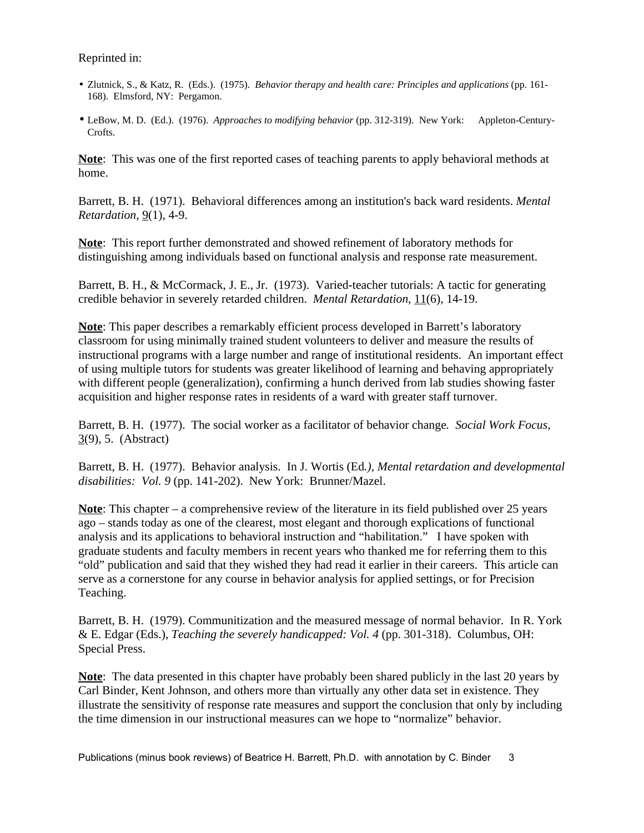Reprinted in:

- Zlutnick, S., & Katz, R. (Eds.). (1975). *Behavior therapy and health care: Principles and applications* (pp. 161- 168). Elmsford, NY: Pergamon.
- LeBow, M. D. (Ed.). (1976). *Approaches to modifying behavior* (pp. 312-319). New York: Appleton-Century-Crofts.

**Note**: This was one of the first reported cases of teaching parents to apply behavioral methods at home.

Barrett, B. H. (1971). Behavioral differences among an institution's back ward residents. *Mental Retardation*, 9(1), 4-9.

**Note**: This report further demonstrated and showed refinement of laboratory methods for distinguishing among individuals based on functional analysis and response rate measurement.

Barrett, B. H., & McCormack, J. E., Jr. (1973). Varied-teacher tutorials: A tactic for generating credible behavior in severely retarded children. *Mental Retardation*, 11(6), 14-19.

**Note**: This paper describes a remarkably efficient process developed in Barrett's laboratory classroom for using minimally trained student volunteers to deliver and measure the results of instructional programs with a large number and range of institutional residents. An important effect of using multiple tutors for students was greater likelihood of learning and behaving appropriately with different people (generalization), confirming a hunch derived from lab studies showing faster acquisition and higher response rates in residents of a ward with greater staff turnover.

Barrett, B. H. (1977). The social worker as a facilitator of behavior change*. Social Work Focus,* 3(9), 5. (Abstract)

Barrett, B. H. (1977). Behavior analysis. In J. Wortis (Ed*.), Mental retardation and developmental disabilities: Vol. 9* (pp. 141-202). New York: Brunner/Mazel.

**Note**: This chapter – a comprehensive review of the literature in its field published over 25 years ago – stands today as one of the clearest, most elegant and thorough explications of functional analysis and its applications to behavioral instruction and "habilitation." I have spoken with graduate students and faculty members in recent years who thanked me for referring them to this "old" publication and said that they wished they had read it earlier in their careers. This article can serve as a cornerstone for any course in behavior analysis for applied settings, or for Precision Teaching.

Barrett, B. H. (1979). Communitization and the measured message of normal behavior. In R. York & E. Edgar (Eds.), *Teaching the severely handicapped: Vol. 4* (pp. 301-318). Columbus, OH: Special Press.

**Note**: The data presented in this chapter have probably been shared publicly in the last 20 years by Carl Binder, Kent Johnson, and others more than virtually any other data set in existence. They illustrate the sensitivity of response rate measures and support the conclusion that only by including the time dimension in our instructional measures can we hope to "normalize" behavior.

Publications (minus book reviews) of Beatrice H. Barrett, Ph.D. with annotation by C. Binder 3